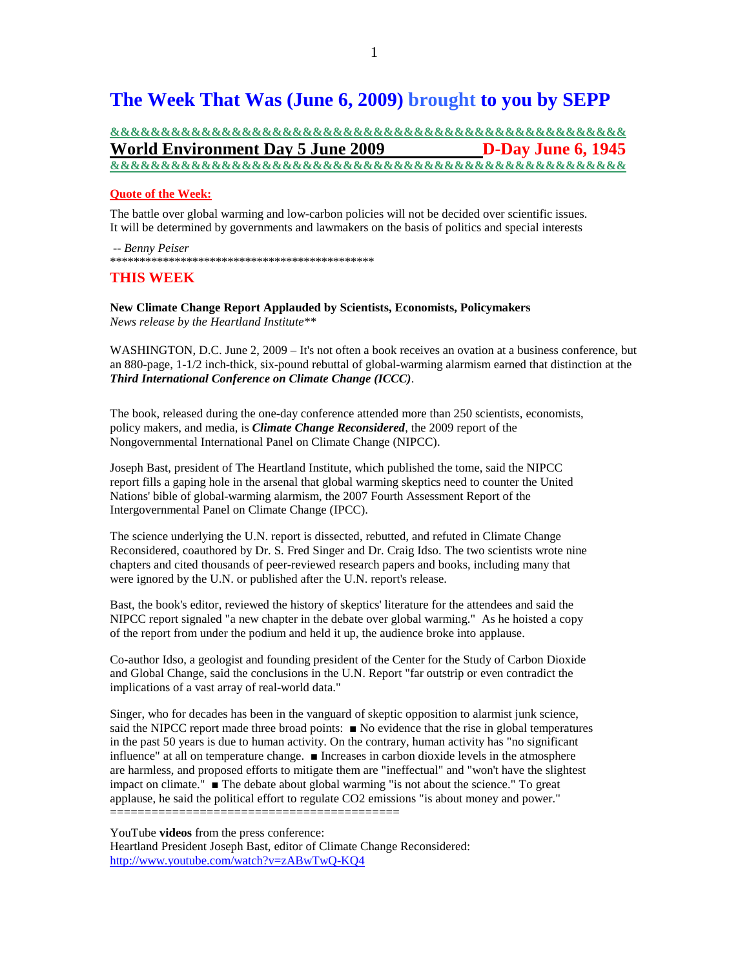# **The Week That Was (June 6, 2009) brought to you by SEPP**

# **&&&&&&&&&&&&&&&&&&&&&&&&&&&&&&&&&&&&&&&&&&&&&&&&&&& World Environment Day 5 June 2009 D-Day June 6, 1945 &&&&&&&&&&&&&&&&&&&&&&&&&&&&&&&&&&&&&&&&&&&&&&&&&&&**

### **Quote of the Week:**

The battle over global warming and low-carbon policies will not be decided over scientific issues. It will be determined by governments and lawmakers on the basis of politics and special interests

 -- *Benny Peiser* \*\*\*\*\*\*\*\*\*\*\*\*\*\*\*\*\*\*\*\*\*\*\*\*\*\*\*\*\*\*\*\*\*\*\*\*\*\*\*\*\*\*\*\*\*

### **THIS WEEK**

**New Climate Change Report Applauded by Scientists, Economists, Policymakers**  *News release by the Heartland Institute\*\** 

WASHINGTON, D.C. June 2, 2009 – It's not often a book receives an ovation at a business conference, but an 880-page, 1-1/2 inch-thick, six-pound rebuttal of global-warming alarmism earned that distinction at the *Third International Conference on Climate Change (ICCC)*.

The book, released during the one-day conference attended more than 250 scientists, economists, policy makers, and media, is *Climate Change Reconsidered*, the 2009 report of the Nongovernmental International Panel on Climate Change (NIPCC).

Joseph Bast, president of The Heartland Institute, which published the tome, said the NIPCC report fills a gaping hole in the arsenal that global warming skeptics need to counter the United Nations' bible of global-warming alarmism, the 2007 Fourth Assessment Report of the Intergovernmental Panel on Climate Change (IPCC).

The science underlying the U.N. report is dissected, rebutted, and refuted in Climate Change Reconsidered, coauthored by Dr. S. Fred Singer and Dr. Craig Idso. The two scientists wrote nine chapters and cited thousands of peer-reviewed research papers and books, including many that were ignored by the U.N. or published after the U.N. report's release.

Bast, the book's editor, reviewed the history of skeptics' literature for the attendees and said the NIPCC report signaled "a new chapter in the debate over global warming." As he hoisted a copy of the report from under the podium and held it up, the audience broke into applause.

Co-author Idso, a geologist and founding president of the Center for the Study of Carbon Dioxide and Global Change, said the conclusions in the U.N. Report "far outstrip or even contradict the implications of a vast array of real-world data."

Singer, who for decades has been in the vanguard of skeptic opposition to alarmist junk science, said the NIPCC report made three broad points: ■ No evidence that the rise in global temperatures in the past 50 years is due to human activity. On the contrary, human activity has "no significant influence" at all on temperature change. ■ Increases in carbon dioxide levels in the atmosphere are harmless, and proposed efforts to mitigate them are "ineffectual" and "won't have the slightest impact on climate." ■ The debate about global warming "is not about the science." To great applause, he said the political effort to regulate CO2 emissions "is about money and power." ==========================================

YouTube **videos** from the press conference:

Heartland President Joseph Bast, editor of Climate Change Reconsidered: http://www.youtube.com/watch?v=zABwTwQ-KQ4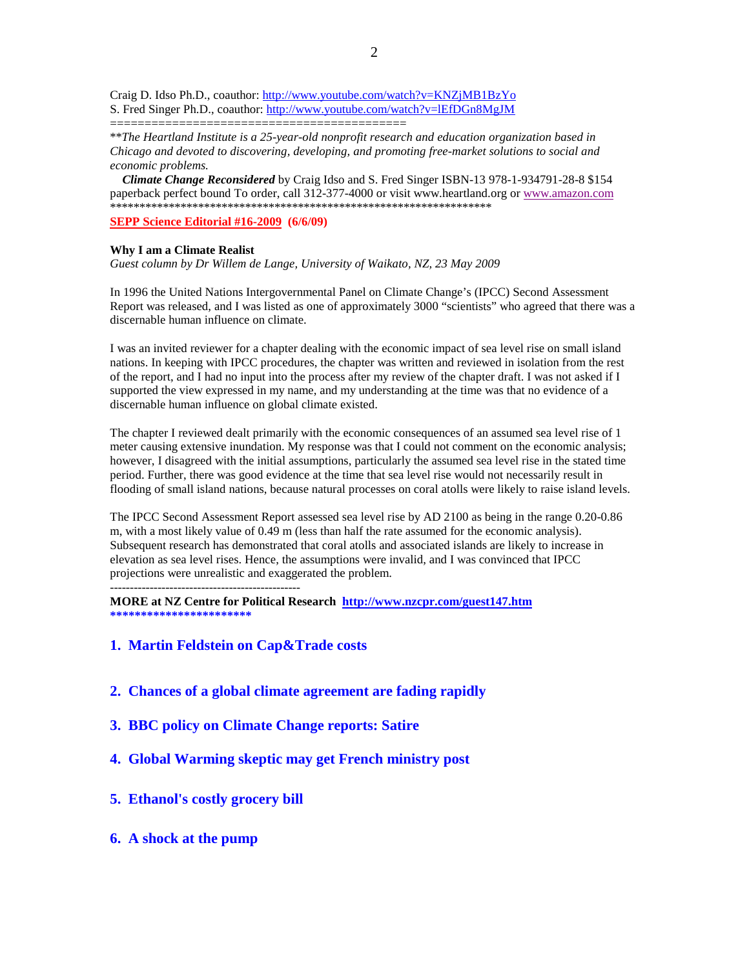Craig D. Idso Ph.D., coauthor: http://www.youtube.com/watch?v=KNZjMB1BzYo S. Fred Singer Ph.D., coauthor: http://www.youtube.com/watch?v=lEfDGn8MgJM

===========================================

\*\**The Heartland Institute is a 25-year-old nonprofit research and education organization based in Chicago and devoted to discovering, developing, and promoting free-market solutions to social and economic problems.* 

 *Climate Change Reconsidered* by Craig Idso and S. Fred Singer ISBN-13 978-1-934791-28-8 \$154 paperback perfect bound To order, call 312-377-4000 or visit www.heartland.org or www.amazon.com \*\*\*\*\*\*\*\*\*\*\*\*\*\*\*\*\*\*\*\*\*\*\*\*\*\*\*\*\*\*\*\*\*\*\*\*\*\*\*\*\*\*\*\*\*\*\*\*\*\*\*\*\*\*\*\*\*\*\*\*\*\*\*\*\*

**SEPP Science Editorial #16-2009 (6/6/09)** 

### **Why I am a Climate Realist**

*Guest column by Dr Willem de Lange, University of Waikato, NZ, 23 May 2009* 

In 1996 the United Nations Intergovernmental Panel on Climate Change's (IPCC) Second Assessment Report was released, and I was listed as one of approximately 3000 "scientists" who agreed that there was a discernable human influence on climate.

I was an invited reviewer for a chapter dealing with the economic impact of sea level rise on small island nations. In keeping with IPCC procedures, the chapter was written and reviewed in isolation from the rest of the report, and I had no input into the process after my review of the chapter draft. I was not asked if I supported the view expressed in my name, and my understanding at the time was that no evidence of a discernable human influence on global climate existed.

The chapter I reviewed dealt primarily with the economic consequences of an assumed sea level rise of 1 meter causing extensive inundation. My response was that I could not comment on the economic analysis; however, I disagreed with the initial assumptions, particularly the assumed sea level rise in the stated time period. Further, there was good evidence at the time that sea level rise would not necessarily result in flooding of small island nations, because natural processes on coral atolls were likely to raise island levels.

The IPCC Second Assessment Report assessed sea level rise by AD 2100 as being in the range 0.20-0.86 m, with a most likely value of 0.49 m (less than half the rate assumed for the economic analysis). Subsequent research has demonstrated that coral atolls and associated islands are likely to increase in elevation as sea level rises. Hence, the assumptions were invalid, and I was convinced that IPCC projections were unrealistic and exaggerated the problem.

------------------------------------------------

**MORE at NZ Centre for Political Research http://www.nzcpr.com/guest147.htm \*\*\*\*\*\*\*\*\*\*\*\*\*\*\*\*\*\*\*\*\*\*\*** 

### **1. Martin Feldstein on Cap&Trade costs**

- **2. Chances of a global climate agreement are fading rapidly**
- **3. BBC policy on Climate Change reports: Satire**
- **4. Global Warming skeptic may get French ministry post**
- **5. Ethanol's costly grocery bill**
- **6. A shock at the pump**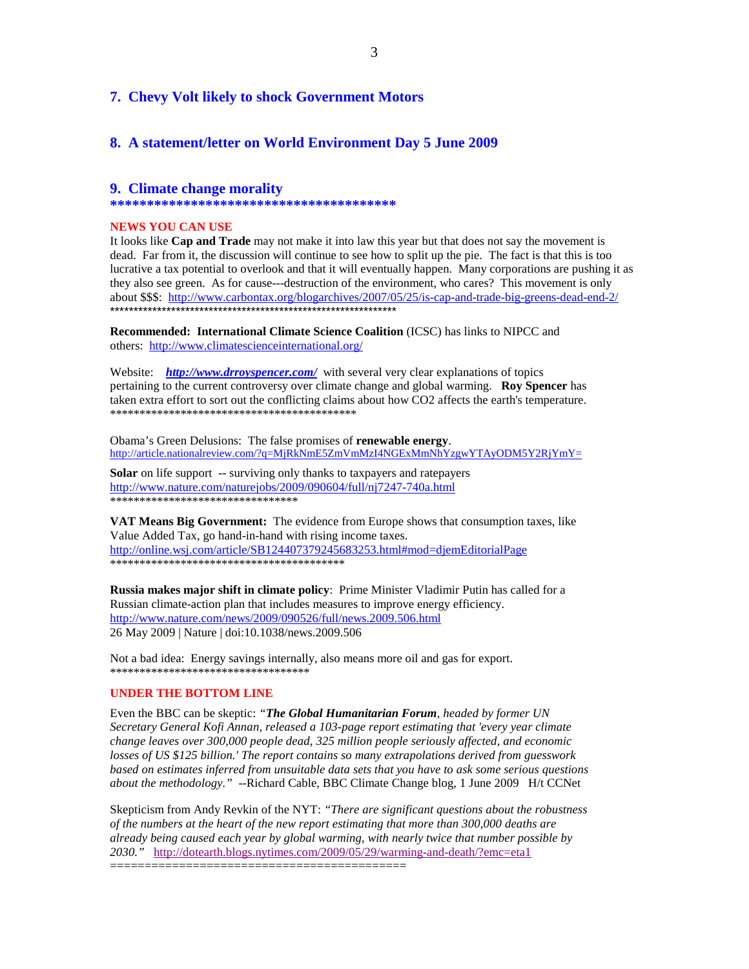### **7. Chevy Volt likely to shock Government Motors**

### **8. A statement/letter on World Environment Day 5 June 2009**

### **9. Climate change morality**

**\*\*\*\*\*\*\*\*\*\*\*\*\*\*\*\*\*\*\*\*\*\*\*\*\*\*\*\*\*\*\*\*\*\*\*\*\*\*\***

### **NEWS YOU CAN USE**

It looks like **Cap and Trade** may not make it into law this year but that does not say the movement is dead. Far from it, the discussion will continue to see how to split up the pie. The fact is that this is too lucrative a tax potential to overlook and that it will eventually happen. Many corporations are pushing it as they also see green. As for cause---destruction of the environment, who cares? This movement is only about \$\$\$: http://www.carbontax.org/blogarchives/2007/05/25/is-cap-and-trade-big-greens-dead-end-2/ \*\*\*\*\*\*\*\*\*\*\*\*\*\*\*\*\*\*\*\*\*\*\*\*\*\*\*\*\*\*\*\*\*\*\*\*\*\*\*\*\*\*\*\*\*\*\*\*\*\*\*\*\*\*\*\*\*\*\*\*\*

**Recommended: International Climate Science Coalition** (ICSC) has links to NIPCC and others: http://www.climatescienceinternational.org/

Website: *http://www.drroyspencer.com/* with several very clear explanations of topics pertaining to the current controversy over climate change and global warming. **Roy Spencer** has taken extra effort to sort out the conflicting claims about how CO2 affects the earth's temperature. \*\*\*\*\*\*\*\*\*\*\*\*\*\*\*\*\*\*\*\*\*\*\*\*\*\*\*\*\*\*\*\*\*\*\*\*\*\*\*\*\*\*

Obama's Green Delusions: The false promises of **renewable energy**. http://article.nationalreview.com/?q=MjRkNmE5ZmVmMzI4NGExMmNhYzgwYTAyODM5Y2RjYmY=

**Solar** on life support -- surviving only thanks to taxpayers and ratepayers http://www.nature.com/naturejobs/2009/090604/full/nj7247-740a.html \*\*\*\*\*\*\*\*\*\*\*\*\*\*\*\*\*\*\*\*\*\*\*\*\*\*\*\*\*\*\*\*

**VAT Means Big Government:** The evidence from Europe shows that consumption taxes, like Value Added Tax, go hand-in-hand with rising income taxes. http://online.wsj.com/article/SB124407379245683253.html#mod=djemEditorialPage \*\*\*\*\*\*\*\*\*\*\*\*\*\*\*\*\*\*\*\*\*\*\*\*\*\*\*\*\*\*\*\*\*\*\*\*\*\*\*\*

**Russia makes major shift in climate policy**: Prime Minister Vladimir Putin has called for a Russian climate-action plan that includes measures to improve energy efficiency. http://www.nature.com/news/2009/090526/full/news.2009.506.html 26 May 2009 | Nature | doi:10.1038/news.2009.506

Not a bad idea: Energy savings internally, also means more oil and gas for export. \*\*\*\*\*\*\*\*\*\*\*\*\*\*\*\*\*\*\*\*\*\*\*\*\*\*\*\*\*\*\*\*\*\*

### **UNDER THE BOTTOM LINE**

Even the BBC can be skeptic: *"The Global Humanitarian Forum, headed by former UN Secretary General Kofi Annan, released a 103-page report estimating that 'every year climate change leaves over 300,000 people dead, 325 million people seriously affected, and economic losses of US \$125 billion.' The report contains so many extrapolations derived from guesswork based on estimates inferred from unsuitable data sets that you have to ask some serious questions about the methodology."* --Richard Cable, BBC Climate Change blog, 1 June 2009 H/t CCNet

Skepticism from Andy Revkin of the NYT: *"There are significant questions about the robustness of the numbers at the heart of the new report estimating that more than 300,000 deaths are already being caused each year by global warming, with nearly twice that number possible by 2030."* http://dotearth.blogs.nytimes.com/2009/05/29/warming-and-death/?emc=eta1

===========================================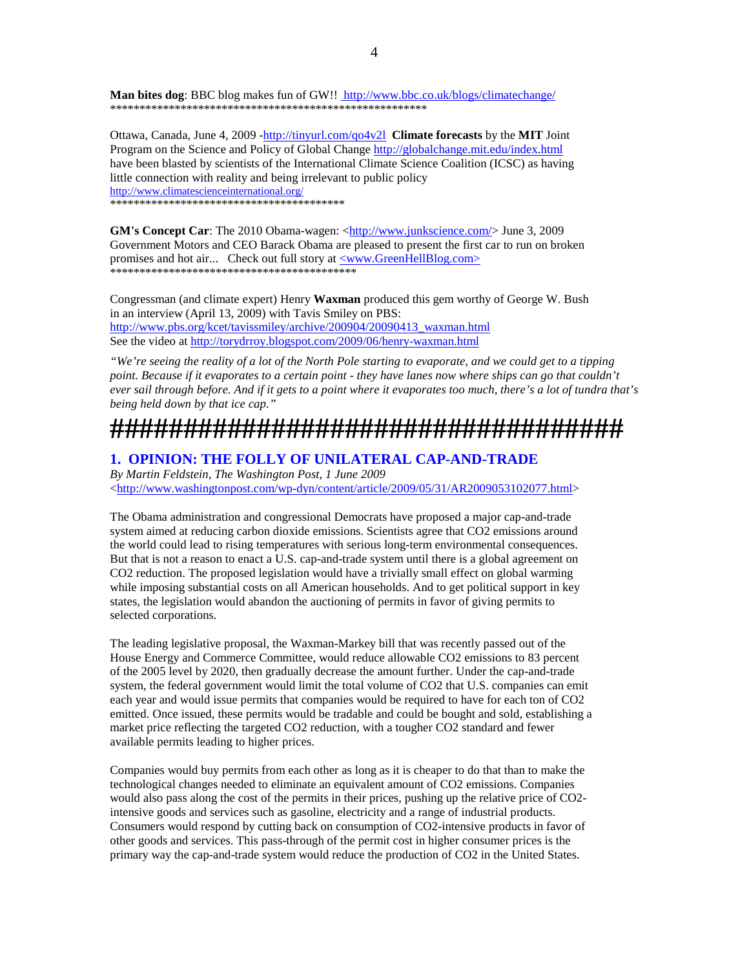Man bites dog: BBC blog makes fun of GW!! http://www.bbc.co.uk/blogs/climatechange/ \*\*\*\*\*\*\*\*\*\*\*\*\*\*\*\*\*\*\*\*\*\*\*\*\*\*\*\*\*\*\*\*\*\*\*\*\*\*\*\*\*\*\*\*\*\*\*\*\*\*\*\*\*\*

Ottawa, Canada, June 4, 2009 -http://tinyurl.com/qo4v2l **Climate forecasts** by the **MIT** Joint Program on the Science and Policy of Global Change http://globalchange.mit.edu/index.html have been blasted by scientists of the International Climate Science Coalition (ICSC) as having little connection with reality and being irrelevant to public policy http://www.climatescienceinternational.org/ \*\*\*\*\*\*\*\*\*\*\*\*\*\*\*\*\*\*\*\*\*\*\*\*\*\*\*\*\*\*\*\*\*\*\*\*\*\*\*\*

**GM's Concept Car**: The 2010 Obama-wagen: <http://www.junkscience.com/> June 3, 2009 Government Motors and CEO Barack Obama are pleased to present the first car to run on broken promises and hot air... Check out full story at <www.GreenHellBlog.com> \*\*\*\*\*\*\*\*\*\*\*\*\*\*\*\*\*\*\*\*\*\*\*\*\*\*\*\*\*\*\*\*\*\*\*\*\*\*\*\*\*\*

Congressman (and climate expert) Henry **Waxman** produced this gem worthy of George W. Bush in an interview (April 13, 2009) with Tavis Smiley on PBS: http://www.pbs.org/kcet/tavissmiley/archive/200904/20090413\_waxman.html See the video at http://torydrroy.blogspot.com/2009/06/henry-waxman.html

*"We're seeing the reality of a lot of the North Pole starting to evaporate, and we could get to a tipping point. Because if it evaporates to a certain point - they have lanes now where ships can go that couldn't ever sail through before. And if it gets to a point where it evaporates too much, there's a lot of tundra that's being held down by that ice cap."* 

# **###################################**

## **1. OPINION: THE FOLLY OF UNILATERAL CAP-AND-TRADE**

*By Martin Feldstein, The Washington Post, 1 June 2009*  <http://www.washingtonpost.com/wp-dyn/content/article/2009/05/31/AR2009053102077.html>

The Obama administration and congressional Democrats have proposed a major cap-and-trade system aimed at reducing carbon dioxide emissions. Scientists agree that CO2 emissions around the world could lead to rising temperatures with serious long-term environmental consequences. But that is not a reason to enact a U.S. cap-and-trade system until there is a global agreement on CO2 reduction. The proposed legislation would have a trivially small effect on global warming while imposing substantial costs on all American households. And to get political support in key states, the legislation would abandon the auctioning of permits in favor of giving permits to selected corporations.

The leading legislative proposal, the Waxman-Markey bill that was recently passed out of the House Energy and Commerce Committee, would reduce allowable CO2 emissions to 83 percent of the 2005 level by 2020, then gradually decrease the amount further. Under the cap-and-trade system, the federal government would limit the total volume of CO2 that U.S. companies can emit each year and would issue permits that companies would be required to have for each ton of CO2 emitted. Once issued, these permits would be tradable and could be bought and sold, establishing a market price reflecting the targeted CO2 reduction, with a tougher CO2 standard and fewer available permits leading to higher prices.

Companies would buy permits from each other as long as it is cheaper to do that than to make the technological changes needed to eliminate an equivalent amount of CO2 emissions. Companies would also pass along the cost of the permits in their prices, pushing up the relative price of CO2 intensive goods and services such as gasoline, electricity and a range of industrial products. Consumers would respond by cutting back on consumption of CO2-intensive products in favor of other goods and services. This pass-through of the permit cost in higher consumer prices is the primary way the cap-and-trade system would reduce the production of CO2 in the United States.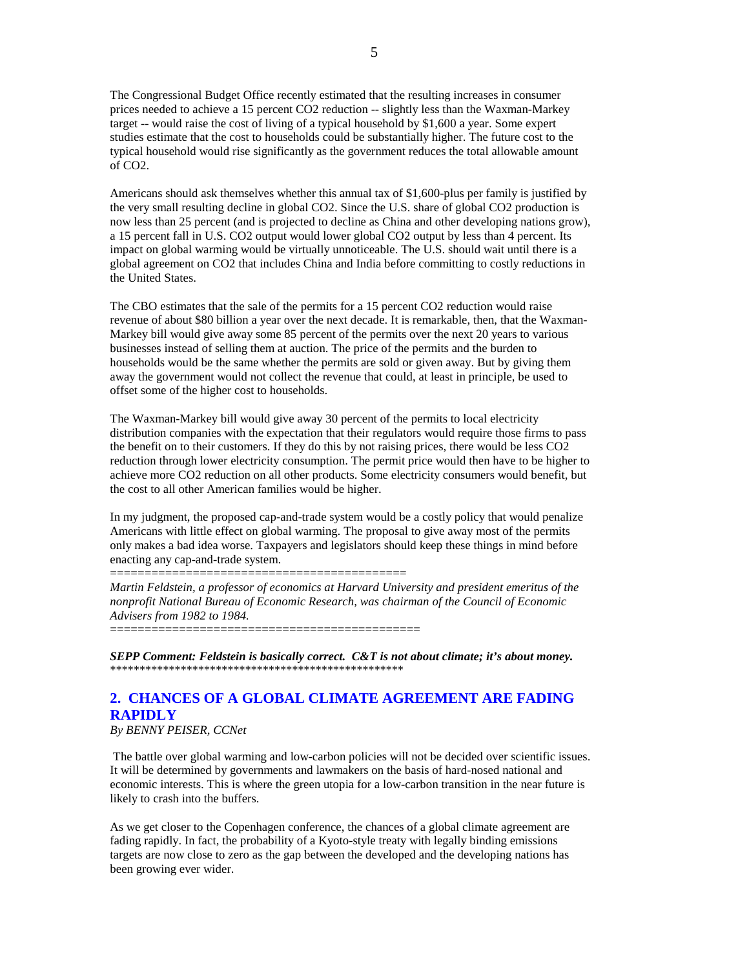The Congressional Budget Office recently estimated that the resulting increases in consumer prices needed to achieve a 15 percent CO2 reduction -- slightly less than the Waxman-Markey target -- would raise the cost of living of a typical household by \$1,600 a year. Some expert studies estimate that the cost to households could be substantially higher. The future cost to the typical household would rise significantly as the government reduces the total allowable amount of CO2.

Americans should ask themselves whether this annual tax of \$1,600-plus per family is justified by the very small resulting decline in global CO2. Since the U.S. share of global CO2 production is now less than 25 percent (and is projected to decline as China and other developing nations grow), a 15 percent fall in U.S. CO2 output would lower global CO2 output by less than 4 percent. Its impact on global warming would be virtually unnoticeable. The U.S. should wait until there is a global agreement on CO2 that includes China and India before committing to costly reductions in the United States.

The CBO estimates that the sale of the permits for a 15 percent CO2 reduction would raise revenue of about \$80 billion a year over the next decade. It is remarkable, then, that the Waxman-Markey bill would give away some 85 percent of the permits over the next 20 years to various businesses instead of selling them at auction. The price of the permits and the burden to households would be the same whether the permits are sold or given away. But by giving them away the government would not collect the revenue that could, at least in principle, be used to offset some of the higher cost to households.

The Waxman-Markey bill would give away 30 percent of the permits to local electricity distribution companies with the expectation that their regulators would require those firms to pass the benefit on to their customers. If they do this by not raising prices, there would be less CO2 reduction through lower electricity consumption. The permit price would then have to be higher to achieve more CO2 reduction on all other products. Some electricity consumers would benefit, but the cost to all other American families would be higher.

In my judgment, the proposed cap-and-trade system would be a costly policy that would penalize Americans with little effect on global warming. The proposal to give away most of the permits only makes a bad idea worse. Taxpayers and legislators should keep these things in mind before enacting any cap-and-trade system.

===========================================

*Martin Feldstein, a professor of economics at Harvard University and president emeritus of the nonprofit National Bureau of Economic Research, was chairman of the Council of Economic Advisers from 1982 to 1984.* 

=============================================

*SEPP Comment: Feldstein is basically correct. C&T is not about climate; it's about money.*  \*\*\*\*\*\*\*\*\*\*\*\*\*\*\*\*\*\*\*\*\*\*\*\*\*\*\*\*\*\*\*\*\*\*\*\*\*\*\*\*\*\*\*\*\*\*\*\*\*\*

# **2. CHANCES OF A GLOBAL CLIMATE AGREEMENT ARE FADING RAPIDLY**

*By BENNY PEISER, CCNet* 

 The battle over global warming and low-carbon policies will not be decided over scientific issues. It will be determined by governments and lawmakers on the basis of hard-nosed national and economic interests. This is where the green utopia for a low-carbon transition in the near future is likely to crash into the buffers.

As we get closer to the Copenhagen conference, the chances of a global climate agreement are fading rapidly. In fact, the probability of a Kyoto-style treaty with legally binding emissions targets are now close to zero as the gap between the developed and the developing nations has been growing ever wider.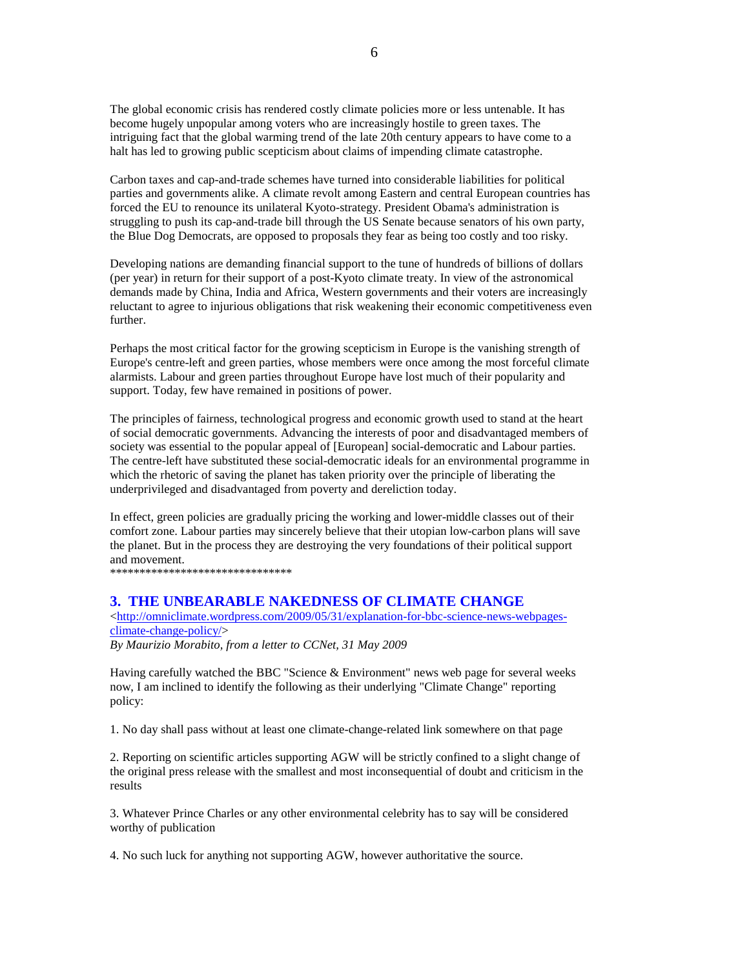The global economic crisis has rendered costly climate policies more or less untenable. It has become hugely unpopular among voters who are increasingly hostile to green taxes. The intriguing fact that the global warming trend of the late 20th century appears to have come to a halt has led to growing public scepticism about claims of impending climate catastrophe.

Carbon taxes and cap-and-trade schemes have turned into considerable liabilities for political parties and governments alike. A climate revolt among Eastern and central European countries has forced the EU to renounce its unilateral Kyoto-strategy. President Obama's administration is struggling to push its cap-and-trade bill through the US Senate because senators of his own party, the Blue Dog Democrats, are opposed to proposals they fear as being too costly and too risky.

Developing nations are demanding financial support to the tune of hundreds of billions of dollars (per year) in return for their support of a post-Kyoto climate treaty. In view of the astronomical demands made by China, India and Africa, Western governments and their voters are increasingly reluctant to agree to injurious obligations that risk weakening their economic competitiveness even further.

Perhaps the most critical factor for the growing scepticism in Europe is the vanishing strength of Europe's centre-left and green parties, whose members were once among the most forceful climate alarmists. Labour and green parties throughout Europe have lost much of their popularity and support. Today, few have remained in positions of power.

The principles of fairness, technological progress and economic growth used to stand at the heart of social democratic governments. Advancing the interests of poor and disadvantaged members of society was essential to the popular appeal of [European] social-democratic and Labour parties. The centre-left have substituted these social-democratic ideals for an environmental programme in which the rhetoric of saving the planet has taken priority over the principle of liberating the underprivileged and disadvantaged from poverty and dereliction today.

In effect, green policies are gradually pricing the working and lower-middle classes out of their comfort zone. Labour parties may sincerely believe that their utopian low-carbon plans will save the planet. But in the process they are destroying the very foundations of their political support and movement.

\*\*\*\*\*\*\*\*\*\*\*\*\*\*\*\*\*\*\*\*\*\*\*\*\*\*\*\*\*\*\*

# **3. THE UNBEARABLE NAKEDNESS OF CLIMATE CHANGE**

 $\langle$ http://omniclimate.wordpress.com/2009/05/31/explanation-for-bbc-science-news-webpagesclimate-change-policy/>

*By Maurizio Morabito, from a letter to CCNet, 31 May 2009* 

Having carefully watched the BBC "Science & Environment" news web page for several weeks now, I am inclined to identify the following as their underlying "Climate Change" reporting policy:

1. No day shall pass without at least one climate-change-related link somewhere on that page

2. Reporting on scientific articles supporting AGW will be strictly confined to a slight change of the original press release with the smallest and most inconsequential of doubt and criticism in the results

3. Whatever Prince Charles or any other environmental celebrity has to say will be considered worthy of publication

4. No such luck for anything not supporting AGW, however authoritative the source.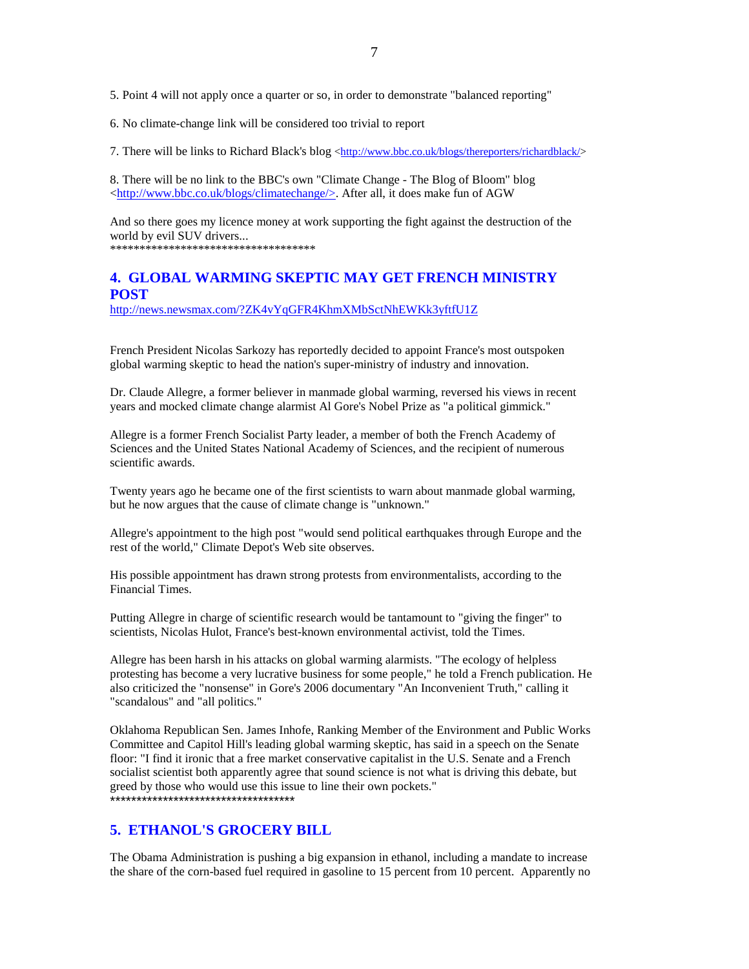5. Point 4 will not apply once a quarter or so, in order to demonstrate "balanced reporting"

6. No climate-change link will be considered too trivial to report

7. There will be links to Richard Black's blog <http://www.bbc.co.uk/blogs/thereporters/richardblack/>

8. There will be no link to the BBC's own "Climate Change - The Blog of Bloom" blog <http://www.bbc.co.uk/blogs/climatechange/>. After all, it does make fun of AGW

And so there goes my licence money at work supporting the fight against the destruction of the world by evil SUV drivers...

\*\*\*\*\*\*\*\*\*\*\*\*\*\*\*\*\*\*\*\*\*\*\*\*\*\*\*\*\*\*\*\*\*\*\*

# **4. GLOBAL WARMING SKEPTIC MAY GET FRENCH MINISTRY POST**

http://news.newsmax.com/?ZK4vYqGFR4KhmXMbSctNhEWKk3yftfU1Z

French President Nicolas Sarkozy has reportedly decided to appoint France's most outspoken global warming skeptic to head the nation's super-ministry of industry and innovation.

Dr. Claude Allegre, a former believer in manmade global warming, reversed his views in recent years and mocked climate change alarmist Al Gore's Nobel Prize as "a political gimmick."

Allegre is a former French Socialist Party leader, a member of both the French Academy of Sciences and the United States National Academy of Sciences, and the recipient of numerous scientific awards.

Twenty years ago he became one of the first scientists to warn about manmade global warming, but he now argues that the cause of climate change is "unknown."

Allegre's appointment to the high post "would send political earthquakes through Europe and the rest of the world," Climate Depot's Web site observes.

His possible appointment has drawn strong protests from environmentalists, according to the Financial Times.

Putting Allegre in charge of scientific research would be tantamount to "giving the finger" to scientists, Nicolas Hulot, France's best-known environmental activist, told the Times.

Allegre has been harsh in his attacks on global warming alarmists. "The ecology of helpless protesting has become a very lucrative business for some people," he told a French publication. He also criticized the "nonsense" in Gore's 2006 documentary "An Inconvenient Truth," calling it "scandalous" and "all politics."

Oklahoma Republican Sen. James Inhofe, Ranking Member of the Environment and Public Works Committee and Capitol Hill's leading global warming skeptic, has said in a speech on the Senate floor: "I find it ironic that a free market conservative capitalist in the U.S. Senate and a French socialist scientist both apparently agree that sound science is not what is driving this debate, but greed by those who would use this issue to line their own pockets." \*\*\*\*\*\*\*\*\*\*\*\*\*\*\*\*\*\*\*\*\*\*\*\*\*\*\*\*\*\*\*\*\*\*\*

# **5. ETHANOL'S GROCERY BILL**

The Obama Administration is pushing a big expansion in ethanol, including a mandate to increase the share of the corn-based fuel required in gasoline to 15 percent from 10 percent. Apparently no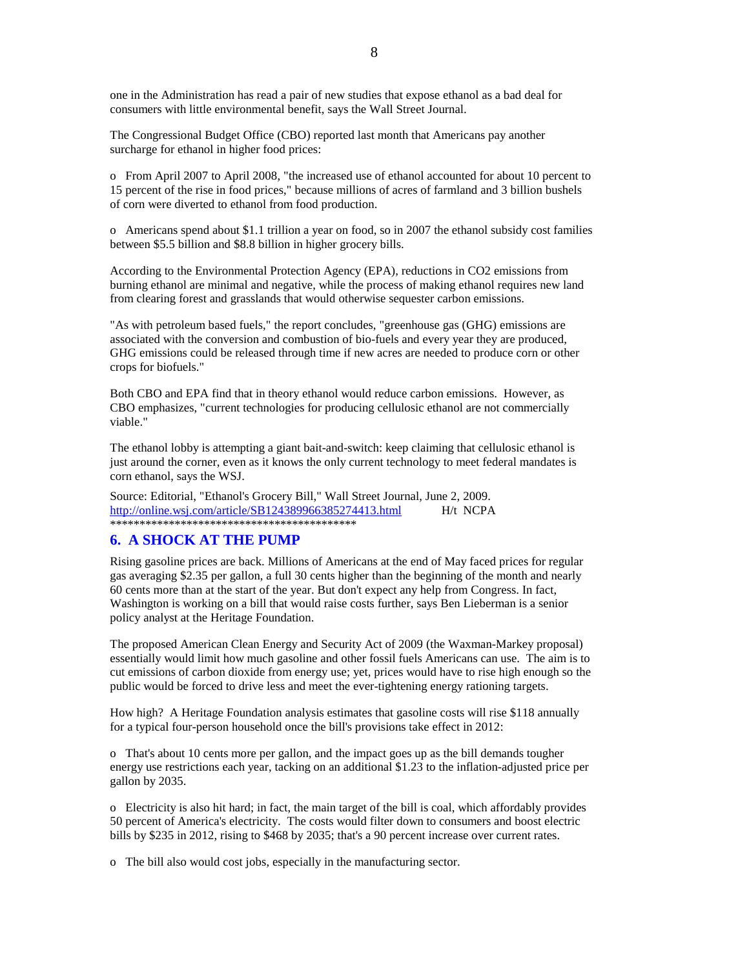one in the Administration has read a pair of new studies that expose ethanol as a bad deal for consumers with little environmental benefit, says the Wall Street Journal.

The Congressional Budget Office (CBO) reported last month that Americans pay another surcharge for ethanol in higher food prices:

o From April 2007 to April 2008, "the increased use of ethanol accounted for about 10 percent to 15 percent of the rise in food prices," because millions of acres of farmland and 3 billion bushels of corn were diverted to ethanol from food production.

o Americans spend about \$1.1 trillion a year on food, so in 2007 the ethanol subsidy cost families between \$5.5 billion and \$8.8 billion in higher grocery bills.

According to the Environmental Protection Agency (EPA), reductions in CO2 emissions from burning ethanol are minimal and negative, while the process of making ethanol requires new land from clearing forest and grasslands that would otherwise sequester carbon emissions.

"As with petroleum based fuels," the report concludes, "greenhouse gas (GHG) emissions are associated with the conversion and combustion of bio-fuels and every year they are produced, GHG emissions could be released through time if new acres are needed to produce corn or other crops for biofuels."

Both CBO and EPA find that in theory ethanol would reduce carbon emissions. However, as CBO emphasizes, "current technologies for producing cellulosic ethanol are not commercially viable."

The ethanol lobby is attempting a giant bait-and-switch: keep claiming that cellulosic ethanol is just around the corner, even as it knows the only current technology to meet federal mandates is corn ethanol, says the WSJ.

Source: Editorial, "Ethanol's Grocery Bill," Wall Street Journal, June 2, 2009. http://online.wsj.com/article/SB124389966385274413.html H/t NCPA \*\*\*\*\*\*\*\*\*\*\*\*\*\*\*\*\*\*\*\*\*\*\*\*\*\*\*\*\*\*\*\*\*\*\*\*\*\*\*\*\*\*

### **6. A SHOCK AT THE PUMP**

Rising gasoline prices are back. Millions of Americans at the end of May faced prices for regular gas averaging \$2.35 per gallon, a full 30 cents higher than the beginning of the month and nearly 60 cents more than at the start of the year. But don't expect any help from Congress. In fact, Washington is working on a bill that would raise costs further, says Ben Lieberman is a senior policy analyst at the Heritage Foundation.

The proposed American Clean Energy and Security Act of 2009 (the Waxman-Markey proposal) essentially would limit how much gasoline and other fossil fuels Americans can use. The aim is to cut emissions of carbon dioxide from energy use; yet, prices would have to rise high enough so the public would be forced to drive less and meet the ever-tightening energy rationing targets.

How high? A Heritage Foundation analysis estimates that gasoline costs will rise \$118 annually for a typical four-person household once the bill's provisions take effect in 2012:

o That's about 10 cents more per gallon, and the impact goes up as the bill demands tougher energy use restrictions each year, tacking on an additional \$1.23 to the inflation-adjusted price per gallon by 2035.

o Electricity is also hit hard; in fact, the main target of the bill is coal, which affordably provides 50 percent of America's electricity. The costs would filter down to consumers and boost electric bills by \$235 in 2012, rising to \$468 by 2035; that's a 90 percent increase over current rates.

o The bill also would cost jobs, especially in the manufacturing sector.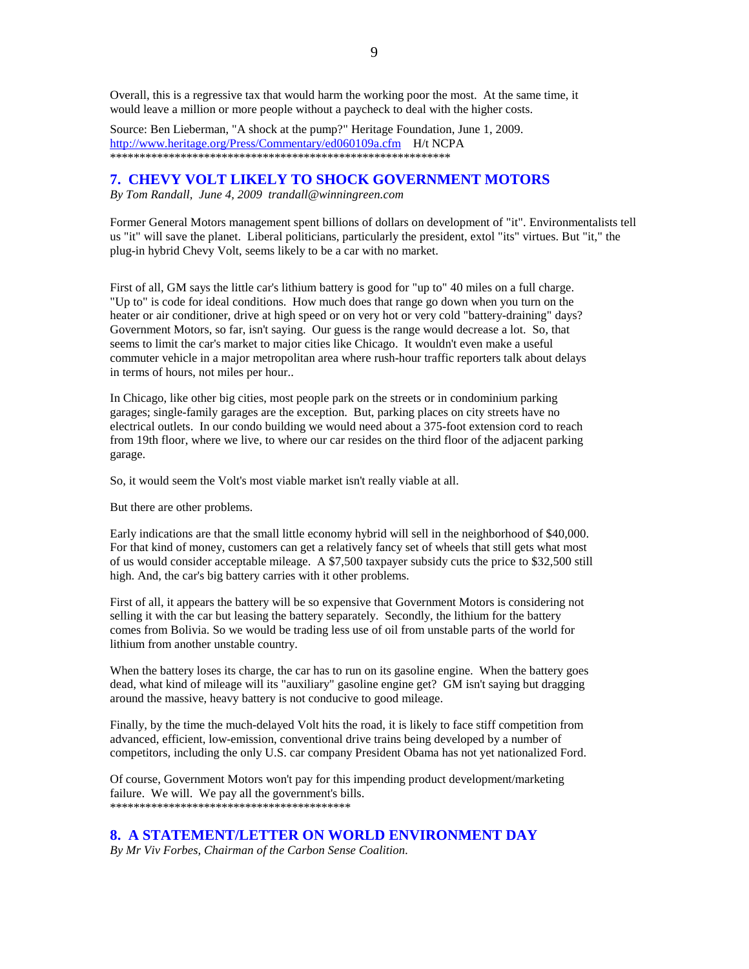Overall, this is a regressive tax that would harm the working poor the most. At the same time, it would leave a million or more people without a paycheck to deal with the higher costs.

Source: Ben Lieberman, "A shock at the pump?" Heritage Foundation, June 1, 2009. http://www.heritage.org/Press/Commentary/ed060109a.cfm H/t NCPA \*\*\*\*\*\*\*\*\*\*\*\*\*\*\*\*\*\*\*\*\*\*\*\*\*\*\*\*\*\*\*\*\*\*\*\*\*\*\*\*\*\*\*\*\*\*\*\*\*\*\*\*\*\*\*\*\*\*

### **7. CHEVY VOLT LIKELY TO SHOCK GOVERNMENT MOTORS**

*By Tom Randall, June 4, 2009 trandall@winningreen.com* 

Former General Motors management spent billions of dollars on development of "it". Environmentalists tell us "it" will save the planet. Liberal politicians, particularly the president, extol "its" virtues. But "it," the plug-in hybrid Chevy Volt, seems likely to be a car with no market.

First of all, GM says the little car's lithium battery is good for "up to" 40 miles on a full charge. "Up to" is code for ideal conditions. How much does that range go down when you turn on the heater or air conditioner, drive at high speed or on very hot or very cold "battery-draining" days? Government Motors, so far, isn't saying. Our guess is the range would decrease a lot. So, that seems to limit the car's market to major cities like Chicago. It wouldn't even make a useful commuter vehicle in a major metropolitan area where rush-hour traffic reporters talk about delays in terms of hours, not miles per hour..

In Chicago, like other big cities, most people park on the streets or in condominium parking garages; single-family garages are the exception. But, parking places on city streets have no electrical outlets. In our condo building we would need about a 375-foot extension cord to reach from 19th floor, where we live, to where our car resides on the third floor of the adjacent parking garage.

So, it would seem the Volt's most viable market isn't really viable at all.

But there are other problems.

Early indications are that the small little economy hybrid will sell in the neighborhood of \$40,000. For that kind of money, customers can get a relatively fancy set of wheels that still gets what most of us would consider acceptable mileage. A \$7,500 taxpayer subsidy cuts the price to \$32,500 still high. And, the car's big battery carries with it other problems.

First of all, it appears the battery will be so expensive that Government Motors is considering not selling it with the car but leasing the battery separately. Secondly, the lithium for the battery comes from Bolivia. So we would be trading less use of oil from unstable parts of the world for lithium from another unstable country.

When the battery loses its charge, the car has to run on its gasoline engine. When the battery goes dead, what kind of mileage will its "auxiliary" gasoline engine get? GM isn't saying but dragging around the massive, heavy battery is not conducive to good mileage.

Finally, by the time the much-delayed Volt hits the road, it is likely to face stiff competition from advanced, efficient, low-emission, conventional drive trains being developed by a number of competitors, including the only U.S. car company President Obama has not yet nationalized Ford.

Of course, Government Motors won't pay for this impending product development/marketing failure. We will. We pay all the government's bills. \*\*\*\*\*\*\*\*\*\*\*\*\*\*\*\*\*\*\*\*\*\*\*\*\*\*\*\*\*\*\*\*\*\*\*\*\*\*\*\*\*

### **8. A STATEMENT/LETTER ON WORLD ENVIRONMENT DAY**

*By Mr Viv Forbes, Chairman of the Carbon Sense Coalition.*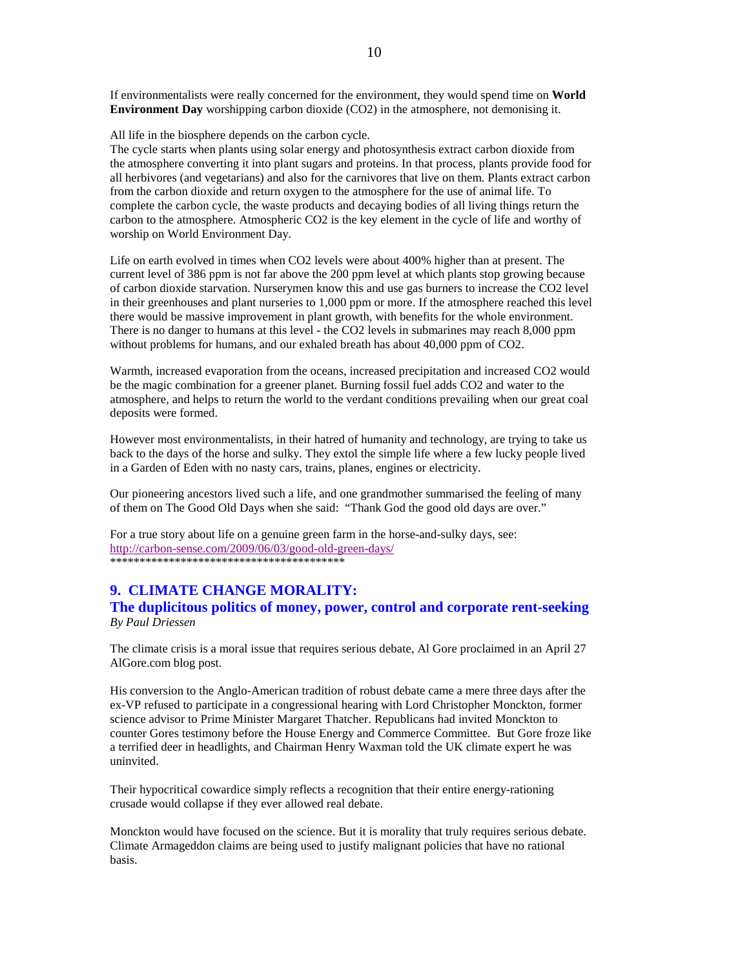If environmentalists were really concerned for the environment, they would spend time on **World Environment Day** worshipping carbon dioxide (CO2) in the atmosphere, not demonising it.

All life in the biosphere depends on the carbon cycle.

The cycle starts when plants using solar energy and photosynthesis extract carbon dioxide from the atmosphere converting it into plant sugars and proteins. In that process, plants provide food for all herbivores (and vegetarians) and also for the carnivores that live on them. Plants extract carbon from the carbon dioxide and return oxygen to the atmosphere for the use of animal life. To complete the carbon cycle, the waste products and decaying bodies of all living things return the carbon to the atmosphere. Atmospheric CO2 is the key element in the cycle of life and worthy of worship on World Environment Day.

Life on earth evolved in times when CO2 levels were about 400% higher than at present. The current level of 386 ppm is not far above the 200 ppm level at which plants stop growing because of carbon dioxide starvation. Nurserymen know this and use gas burners to increase the CO2 level in their greenhouses and plant nurseries to 1,000 ppm or more. If the atmosphere reached this level there would be massive improvement in plant growth, with benefits for the whole environment. There is no danger to humans at this level - the CO2 levels in submarines may reach 8,000 ppm without problems for humans, and our exhaled breath has about 40,000 ppm of CO2.

Warmth, increased evaporation from the oceans, increased precipitation and increased CO2 would be the magic combination for a greener planet. Burning fossil fuel adds CO2 and water to the atmosphere, and helps to return the world to the verdant conditions prevailing when our great coal deposits were formed.

However most environmentalists, in their hatred of humanity and technology, are trying to take us back to the days of the horse and sulky. They extol the simple life where a few lucky people lived in a Garden of Eden with no nasty cars, trains, planes, engines or electricity.

Our pioneering ancestors lived such a life, and one grandmother summarised the feeling of many of them on The Good Old Days when she said: "Thank God the good old days are over."

For a true story about life on a genuine green farm in the horse-and-sulky days, see: http://carbon-sense.com/2009/06/03/good-old-green-days/ \*\*\*\*\*\*\*\*\*\*\*\*\*\*\*\*\*\*\*\*\*\*\*\*\*\*\*\*\*\*\*\*\*\*\*\*\*\*\*\*

# **9. CLIMATE CHANGE MORALITY:**

**The duplicitous politics of money, power, control and corporate rent-seeking**  *By Paul Driessen* 

The climate crisis is a moral issue that requires serious debate, Al Gore proclaimed in an April 27 AlGore.com blog post.

His conversion to the Anglo-American tradition of robust debate came a mere three days after the ex-VP refused to participate in a congressional hearing with Lord Christopher Monckton, former science advisor to Prime Minister Margaret Thatcher. Republicans had invited Monckton to counter Gores testimony before the House Energy and Commerce Committee. But Gore froze like a terrified deer in headlights, and Chairman Henry Waxman told the UK climate expert he was uninvited.

Their hypocritical cowardice simply reflects a recognition that their entire energy-rationing crusade would collapse if they ever allowed real debate.

Monckton would have focused on the science. But it is morality that truly requires serious debate. Climate Armageddon claims are being used to justify malignant policies that have no rational basis.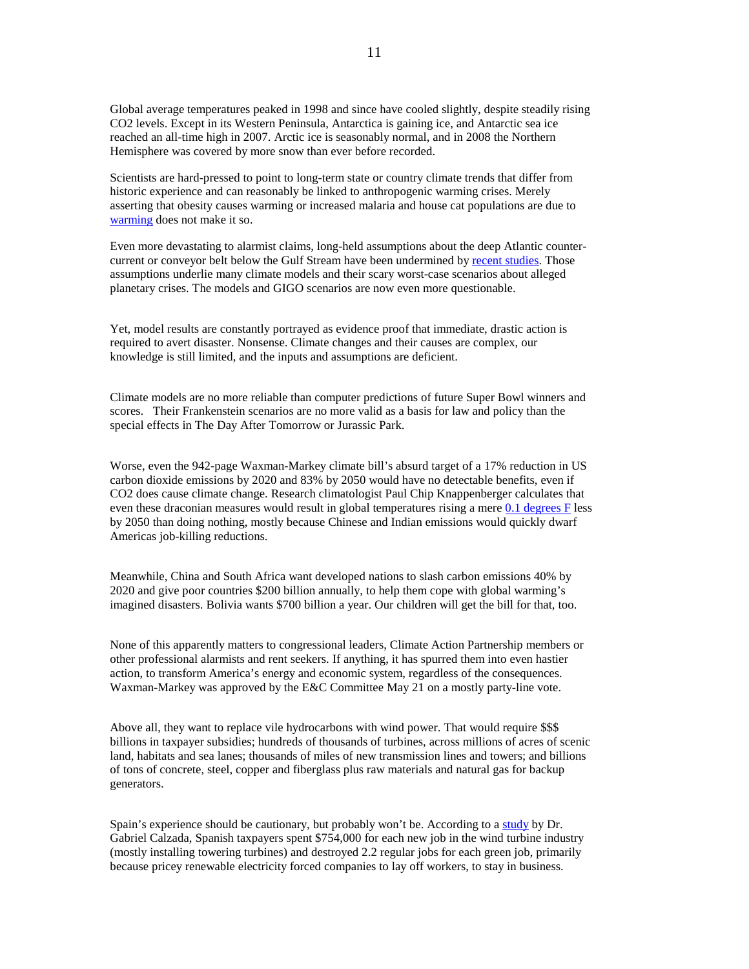Global average temperatures peaked in 1998 and since have cooled slightly, despite steadily rising CO2 levels. Except in its Western Peninsula, Antarctica is gaining ice, and Antarctic sea ice reached an all-time high in 2007. Arctic ice is seasonably normal, and in 2008 the Northern Hemisphere was covered by more snow than ever before recorded.

Scientists are hard-pressed to point to long-term state or country climate trends that differ from historic experience and can reasonably be linked to anthropogenic warming crises. Merely asserting that obesity causes warming or increased malaria and house cat populations are due to warming does not make it so.

Even more devastating to alarmist claims, long-held assumptions about the deep Atlantic countercurrent or conveyor belt below the Gulf Stream have been undermined by recent studies. Those assumptions underlie many climate models and their scary worst-case scenarios about alleged planetary crises. The models and GIGO scenarios are now even more questionable.

Yet, model results are constantly portrayed as evidence proof that immediate, drastic action is required to avert disaster. Nonsense. Climate changes and their causes are complex, our knowledge is still limited, and the inputs and assumptions are deficient.

Climate models are no more reliable than computer predictions of future Super Bowl winners and scores. Their Frankenstein scenarios are no more valid as a basis for law and policy than the special effects in The Day After Tomorrow or Jurassic Park.

Worse, even the 942-page Waxman-Markey climate bill's absurd target of a 17% reduction in US carbon dioxide emissions by 2020 and 83% by 2050 would have no detectable benefits, even if CO2 does cause climate change. Research climatologist Paul Chip Knappenberger calculates that even these draconian measures would result in global temperatures rising a mere 0.1 degrees F less by 2050 than doing nothing, mostly because Chinese and Indian emissions would quickly dwarf Americas job-killing reductions.

Meanwhile, China and South Africa want developed nations to slash carbon emissions 40% by 2020 and give poor countries \$200 billion annually, to help them cope with global warming's imagined disasters. Bolivia wants \$700 billion a year. Our children will get the bill for that, too.

None of this apparently matters to congressional leaders, Climate Action Partnership members or other professional alarmists and rent seekers. If anything, it has spurred them into even hastier action, to transform America's energy and economic system, regardless of the consequences. Waxman-Markey was approved by the E&C Committee May 21 on a mostly party-line vote.

Above all, they want to replace vile hydrocarbons with wind power. That would require \$\$\$ billions in taxpayer subsidies; hundreds of thousands of turbines, across millions of acres of scenic land, habitats and sea lanes; thousands of miles of new transmission lines and towers; and billions of tons of concrete, steel, copper and fiberglass plus raw materials and natural gas for backup generators.

Spain's experience should be cautionary, but probably won't be. According to a study by Dr. Gabriel Calzada, Spanish taxpayers spent \$754,000 for each new job in the wind turbine industry (mostly installing towering turbines) and destroyed 2.2 regular jobs for each green job, primarily because pricey renewable electricity forced companies to lay off workers, to stay in business.